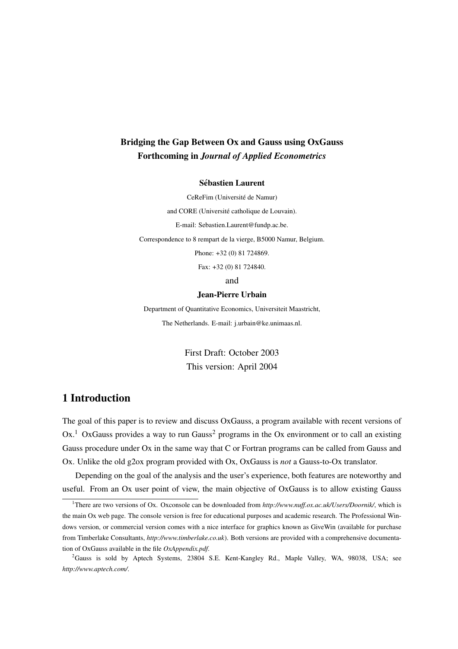# **Bridging the Gap Between Ox and Gauss using OxGauss Forthcoming in** *Journal of Applied Econometrics*

### **Sebastien ´ Laurent**

CeReFim (Université de Namur)

and CORE (Université catholique de Louvain).

E-mail: Sebastien.Laurent@fundp.ac.be.

Correspondence to 8 rempart de la vierge, B5000 Namur, Belgium.

Phone: +32 (0) 81 724869.

Fax: +32 (0) 81 724840.

and

#### **Jean-Pierre Urbain**

Department of Quantitative Economics, Universiteit Maastricht, The Netherlands. E-mail: j.urbain@ke.unimaas.nl.

> First Draft: October 2003 This version: April 2004

## **1 Introduction**

The goal of this paper is to review and discuss OxGauss, a program available with recent versions of  $Ox<sup>1</sup>$  OxGauss provides a way to run Gauss<sup>2</sup> programs in the Ox environment or to call an existing Gauss procedure under Ox in the same way that C or Fortran programs can be called from Gauss and Ox. Unlike the old g2ox program provided with Ox, OxGauss is *not* a Gauss-to-Ox translator.

Depending on the goal of the analysis and the user's experience, both features are noteworthy and useful. From an Ox user point of view, the main objective of OxGauss is to allow existing Gauss

<sup>&</sup>lt;sup>1</sup>There are two versions of Ox. Oxconsole can be downloaded from http://www.nuff.ox.ac.uk/Users/Doornik/, which is the main Ox web page. The console version is free for educational purposes and academic research. The Professional Windows version, or commercial version comes with a nice interface for graphics known as GiveWin (available for purchase from Timberlake Consultants, *http://www.timberlake.co.uk*). Both versions are provided with a comprehensive documentation of OxGauss available in the file *OxAppendix.pdf*.

<sup>2</sup>Gauss is sold by Aptech Systems, 23804 S.E. Kent-Kangley Rd., Maple Valley, WA, 98038, USA; see *http://www.aptech.com/*.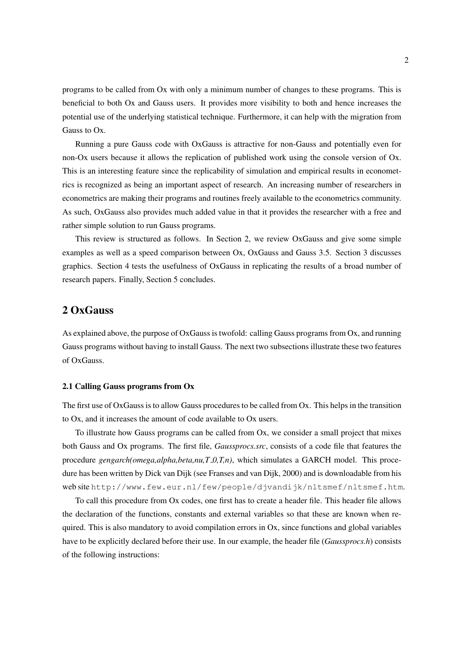programs to be called from Ox with only a minimum number of changes to these programs. This is beneficial to both Ox and Gauss users. It provides more visibility to both and hence increases the potential use of the underlying statistical technique. Furthermore, it can help with the migration from Gauss to Ox.

Running a pure Gauss code with OxGauss is attractive for non-Gauss and potentially even for non-Ox users because it allows the replication of published work using the console version of Ox. This is an interesting feature since the replicability of simulation and empirical results in econometrics is recognized as being an important aspect of research. An increasing number of researchers in econometrics are making their programs and routines freely available to the econometrics community. As such, OxGauss also provides much added value in that it provides the researcher with a free and rather simple solution to run Gauss programs.

This review is structured as follows. In Section 2, we review OxGauss and give some simple examples as well as a speed comparison between Ox, OxGauss and Gauss 3.5. Section 3 discusses graphics. Section 4 tests the usefulness of OxGauss in replicating the results of a broad number of research papers. Finally, Section 5 concludes.

## **2 OxGauss**

As explained above, the purpose of OxGauss is twofold: calling Gauss programs from Ox, and running Gauss programs without having to install Gauss. The next two subsections illustrate these two features of OxGauss.

### **2.1 Calling Gauss programs from Ox**

The first use of OxGauss is to allow Gauss procedures to be called from Ox. This helps in the transition to Ox, and it increases the amount of code available to Ox users.

To illustrate how Gauss programs can be called from Ox, we consider a small project that mixes both Gauss and Ox programs. The first file, *Gaussprocs.src*, consists of a code file that features the procedure *gengarch(omega,alpha,beta,nu,T 0,T,n)*, which simulates a GARCH model. This procedure has been written by Dick van Dijk (see Franses and van Dijk, 2000) and is downloadable from his web site http://www.few.eur.nl/few/people/djvandijk/nltsmef/nltsmef.htm.

To call this procedure from Ox codes, one first has to create a header file. This header file allows the declaration of the functions, constants and external variables so that these are known when required. This is also mandatory to avoid compilation errors in  $Ox$ , since functions and global variables have to be explicitly declared before their use. In our example, the header file (*Gaussprocs.h*) consists of the following instructions: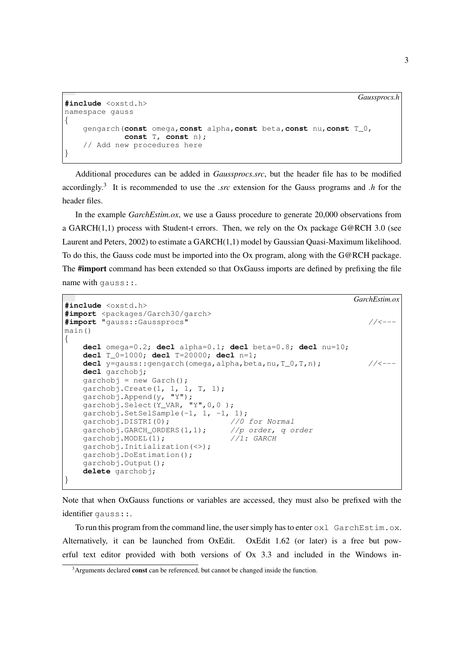#### *Gaussprocs.h*

```
#include <oxstd.h>
namespace gauss
{
    gengarch(const omega,const alpha,const beta,const nu,const T_0,
            const T, const n);
    // Add new procedures here
}
```
Additional procedures can be added in *Gaussprocs.src*, but the header file has to be modified accordingly. 3 It is recommended to use the *.src* extension for the Gauss programs and *.h* for the header files.

In the example *GarchEstim.ox*, we use a Gauss procedure to generate 20,000 observations from a GARCH(1,1) process with Student-t errors. Then, we rely on the Ox package G@RCH 3.0 (see Laurent and Peters, 2002) to estimate a GARCH(1,1) model by Gaussian Quasi-Maximum likelihood. To do this, the Gauss code must be imported into the Ox program, along with the G@RCH package. The **#import** command has been extended so that OxGauss imports are defined by prefixing the file name with gauss::.

```
GarchEstim.ox
#include <oxstd.h>
#import <packages/Garch30/garch>
#import "gauss::Gaussprocs" //<---
main()
\left\{ \right.decl omega=0.2; decl alpha=0.1; decl beta=0.8; decl nu=10;
    decl T_0=1000; decl T=20000; decl n=1;
    decl y=gauss::gengarch(omega,alpha,beta,nu,T_0,T,n); //<---
    decl garchobj;
    qarchobj = new Garden();
    garchobj.Create(1, 1, 1, T, 1);
    garchobj.Append(y, "Y");
   garchobj.Select(Y_VAR, "Y",0,0 );
   garchobj.SetSelSample(-1, 1, -1, 1);
   garchobj.DISTRI(0); //0 for Normal
   garchobj.GARCH_ORDERS(1,1); //p order, q order<br>qarchobj.MODEL(1); <math>//1: GARCHgarchobj.MODEL(1);
    garchobj.Initialization(<>);
    garchobj.DoEstimation();
    garchobj.Output();
    delete garchobj;
}
```
Note that when OxGauss functions or variables are accessed, they must also be prefixed with the identifier gauss::.

To run this program from the command line, the user simply has to enter  $\alpha x \cdot 1$  GarchEstim.ox. Alternatively, it can be launched from OxEdit. OxEdit 1.62 (or later) is a free but powerful text editor provided with both versions of Ox 3.3 and included in the Windows in-

<sup>&</sup>lt;sup>3</sup>Arguments declared **const** can be referenced, but cannot be changed inside the function.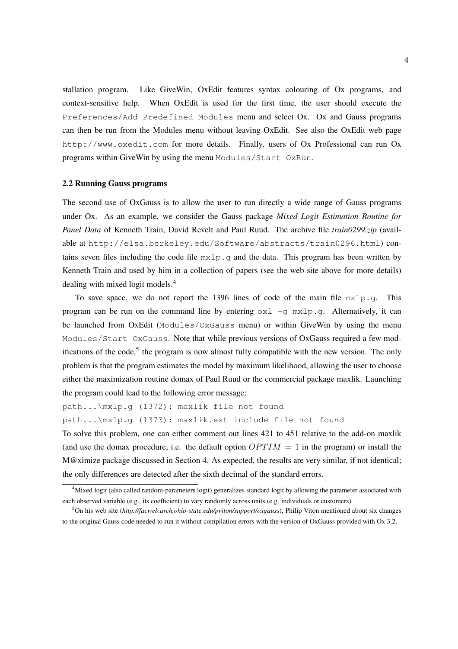stallation program. Like GiveWin, OxEdit features syntax colouring of Ox programs, and context-sensitive help. When OxEdit is used for the first time, the user should execute the Preferences/Add Predefined Modules menu and select Ox. Ox and Gauss programs can then be run from the Modules menu without leaving OxEdit. See also the OxEdit web page http://www.oxedit.com for more details. Finally, users of Ox Professional can run Ox programs within GiveWin by using the menu Modules/Start OxRun.

#### **2.2 Running Gauss programs**

The second use of OxGauss is to allow the user to run directly a wide range of Gauss programs under Ox. As an example, we consider the Gauss package *Mixed Logit Estimation Routine for Panel Data* of Kenneth Train, David Revelt and Paul Ruud. The archive file *train0299.zip* (available at http://elsa.berkeley.edu/Software/abstracts/train0296.html) contains seven files including the code file  $mxlp \cdot q$  and the data. This program has been written by Kenneth Train and used by him in a collection of papers (see the web site above for more details) dealing with mixed logit models.<sup>4</sup>

To save space, we do not report the 1396 lines of code of the main file mxlp.g. This program can be run on the command line by entering  $\alpha x \cdot 1 - q \text{ } m \times 1 p$ .g. Alternatively, it can be launched from OxEdit (Modules/OxGauss menu) or within GiveWin by using the menu Modules/Start OxGauss. Note that while previous versions of OxGauss required a few modifications of the code,<sup>5</sup> the program is now almost fully compatible with the new version. The only problem is that the program estimates the model by maximum likelihood, allowing the user to choose either the maximization routine domax of Paul Ruud or the commercial package maxlik. Launching the program could lead to the following error message:

path...\mxlp.g (1372): maxlik file not found

path...\mxlp.g (1373): maxlik.ext include file not found

To solve this problem, one can either comment out lines 421 to 451 relative to the add-on maxlik (and use the domax procedure, i.e. the default option  $OPTIM = 1$  in the program) or install the M@ximize package discussed in Section 4. As expected, the results are very similar, if not identical; the only differences are detected after the sixth decimal of the standard errors.

 $4$ Mixed logit (also called random-parameters logit) generalizes standard logit by allowing the parameter associated with each observed variable (e.g., its coefficient) to vary randomly across units (e.g. individuals or customers).

<sup>5</sup>On his web site (*http://facweb.arch.ohio-state.edu/pviton/support/oxgauss*), Philip Viton mentioned about six changes to the original Gauss code needed to run it without compilation errors with the version of OxGauss provided with Ox 3.2.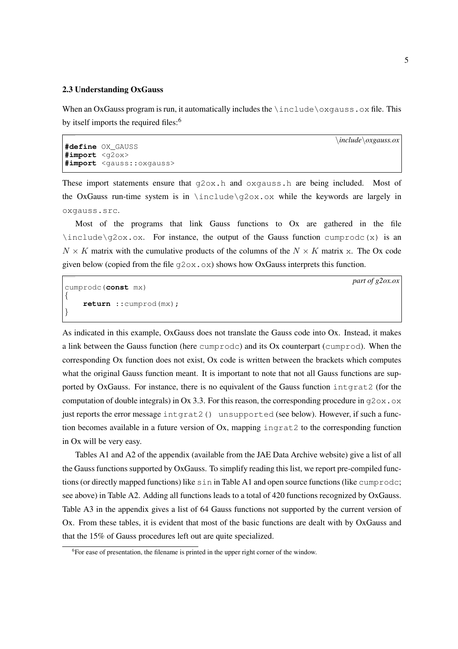### **2.3 Understanding OxGauss**

When an OxGauss program is run, it automatically includes the  $\int$ include $\cos$ gauss.ox file. This by itself imports the required files:<sup>6</sup>

```
#define OX_GAUSS
#import <g2ox>
#import <gauss::oxgauss>
```
These import statements ensure that  $q2ox$ .h and  $oxgauss$ .h are being included. Most of the OxGauss run-time system is in  $\includegraphics{log_2}\xspace$  ox.ox while the keywords are largely in oxgauss.src.

Most of the programs that link Gauss functions to Ox are gathered in the file  $\int \infty$   $\left( \frac{x}{20x} \cdot \text{or} \right)$  for instance, the output of the Gauss function cumprodc(x) is an  $N \times K$  matrix with the cumulative products of the columns of the  $N \times K$  matrix x. The Ox code given below (copied from the file  $q2\alpha x \cdot \alpha x$ ) shows how OxGauss interprets this function.

*part of g2ox.ox*

\*include*\*oxgauss.ox*

```
cumprodc(const mx)
{
    return ::cumprod(mx);
}
```
As indicated in this example, OxGauss does not translate the Gauss code into Ox. Instead, it makes a link between the Gauss function (here cumprodc) and its Ox counterpart (cumprod). When the corresponding Ox function does not exist, Ox code is written between the brackets which computes what the original Gauss function meant. It is important to note that not all Gauss functions are supported by OxGauss. For instance, there is no equivalent of the Gauss function intgrat2 (for the computation of double integrals) in Ox 3.3. For this reason, the corresponding procedure in  $q2ox$ . ox just reports the error message intgrat2() unsupported (see below). However, if such a function becomes available in a future version of  $Ox$ , mapping ingrat2 to the corresponding function in Ox will be very easy.

Tables A1 and A2 of the appendix (available from the JAE Data Archive website) give a list of all the Gauss functions supported by OxGauss. To simplify reading this list, we report pre-compiled functions (or directly mapped functions) like sin in Table A1 and open source functions (like cumprodc; see above) in Table A2. Adding all functions leads to a total of 420 functions recognized by OxGauss. Table A3 in the appendix gives a list of 64 Gauss functions not supported by the current version of Ox. From these tables, it is evident that most of the basic functions are dealt with by OxGauss and that the 15% of Gauss procedures left out are quite specialized.

<sup>&</sup>lt;sup>6</sup>For ease of presentation, the filename is printed in the upper right corner of the window.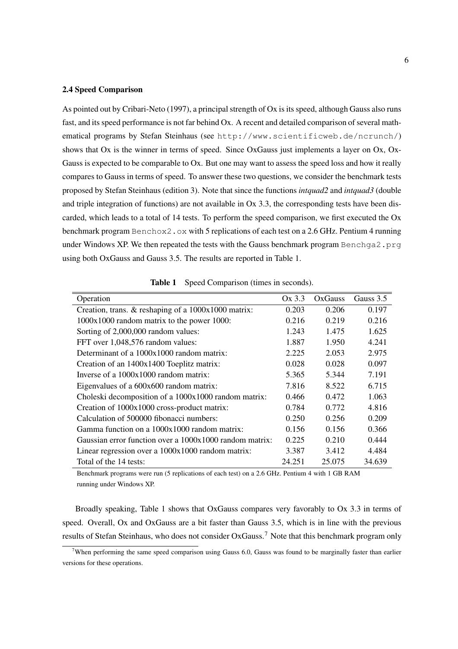### **2.4 Speed Comparison**

As pointed out by Cribari-Neto (1997), a principal strength of Ox is its speed, although Gauss also runs fast, and its speed performance is not far behind Ox. A recent and detailed comparison of several mathematical programs by Stefan Steinhaus (see http://www.scientificweb.de/ncrunch/) shows that Ox is the winner in terms of speed. Since OxGauss just implements a layer on Ox, Ox-Gauss is expected to be comparable to Ox. But one may want to assess the speed loss and how it really compares to Gauss in terms of speed. To answer these two questions, we consider the benchmark tests proposed by Stefan Steinhaus (edition 3). Note that since the functions *intquad2* and *intquad3* (double and triple integration of functions) are not available in  $Ox$  3.3, the corresponding tests have been discarded, which leads to a total of 14 tests. To perform the speed comparison, we first executed the Ox benchmark program Benchox2.ox with 5 replications of each test on a 2.6 GHz. Pentium 4 running under Windows XP. We then repeated the tests with the Gauss benchmark program Benchga2.prg using both OxGauss and Gauss 3.5. The results are reported in Table 1.

| Operation                                               | Ox 3.3 | OxGauss | Gauss 3.5 |
|---------------------------------------------------------|--------|---------|-----------|
| Creation, trans. & reshaping of a 1000x1000 matrix:     | 0.203  | 0.206   | 0.197     |
| 1000x1000 random matrix to the power 1000:              | 0.216  | 0.219   | 0.216     |
| Sorting of 2,000,000 random values:                     | 1.243  | 1.475   | 1.625     |
| FFT over 1,048,576 random values:                       | 1.887  | 1.950   | 4.241     |
| Determinant of a 1000x1000 random matrix:               | 2.225  | 2.053   | 2.975     |
| Creation of an 1400x1400 Toeplitz matrix:               | 0.028  | 0.028   | 0.097     |
| Inverse of a $1000x1000$ random matrix:                 | 5.365  | 5.344   | 7.191     |
| Eigenvalues of a 600x600 random matrix:                 | 7.816  | 8.522   | 6.715     |
| Choleski decomposition of a 1000x1000 random matrix:    | 0.466  | 0.472   | 1.063     |
| Creation of 1000x1000 cross-product matrix:             | 0.784  | 0.772   | 4.816     |
| Calculation of 500000 fibonacci numbers:                | 0.250  | 0.256   | 0.209     |
| Gamma function on a 1000x1000 random matrix:            | 0.156  | 0.156   | 0.366     |
| Gaussian error function over a 1000x1000 random matrix: | 0.225  | 0.210   | 0.444     |
| Linear regression over a 1000x1000 random matrix:       | 3.387  | 3.412   | 4.484     |
| Total of the 14 tests:                                  | 24.251 | 25.075  | 34.639    |

**Table 1** Speed Comparison (times in seconds).

Benchmark programs were run (5 replications of each test) on a 2.6 GHz. Pentium 4 with 1 GB RAM running under Windows XP.

Broadly speaking, Table 1 shows that OxGauss compares very favorably to Ox 3.3 in terms of speed. Overall, Ox and OxGauss are a bit faster than Gauss 3.5, which is in line with the previous results of Stefan Steinhaus, who does not consider OxGauss.<sup>7</sup> Note that this benchmark program only

<sup>&</sup>lt;sup>7</sup>When performing the same speed comparison using Gauss 6.0, Gauss was found to be marginally faster than earlier versions for these operations.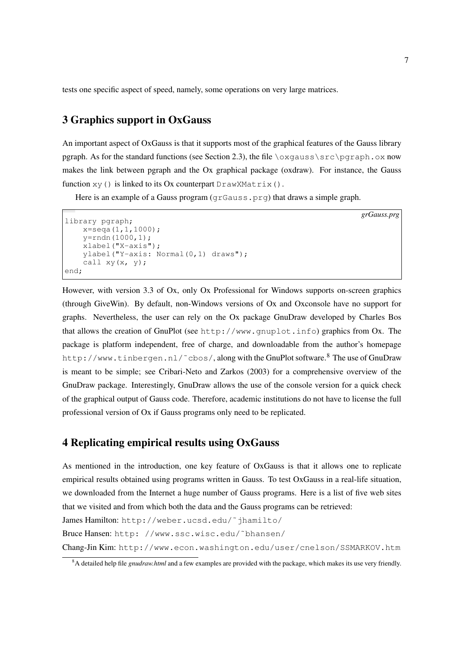tests one specific aspect of speed, namely, some operations on very large matrices.

## **3 Graphics support in OxGauss**

An important aspect of OxGauss is that it supports most of the graphical features of the Gauss library pgraph. As for the standard functions (see Section 2.3), the file  $\cos q$ auss $\src\prod_{\text{open}}. \infty$  now makes the link between pgraph and the Ox graphical package (oxdraw). For instance, the Gauss function  $xy$  () is linked to its Ox counterpart  $DrawMatrix()$ .

Here is an example of a Gauss program (qrGauss.prq) that draws a simple graph.

```
library pgraph;
   x=seqa(1,1,1000);
   y=rndn(1000,1);
   xlabel("X-axis");
    ylabel("Y-axis: Normal(0,1) draws");
    call xy(x, y);
end;
```
However, with version 3.3 of Ox, only Ox Professional for Windows supports on-screen graphics (through GiveWin). By default, non-Windows versions of Ox and Oxconsole have no support for graphs. Nevertheless, the user can rely on the Ox package GnuDraw developed by Charles Bos that allows the creation of GnuPlot (see http://www.gnuplot.info) graphics from Ox. The package is platform independent, free of charge, and downloadable from the author's homepage http://www.tinbergen.nl/~cbos/,along with the GnuPlot software.<sup>8</sup> The use of GnuDraw is meant to be simple; see Cribari-Neto and Zarkos (2003) for a comprehensive overview of the GnuDraw package. Interestingly, GnuDraw allows the use of the console version for a quick check of the graphical output of Gauss code. Therefore, academic institutions do not have to license the full professional version of Ox if Gauss programs only need to be replicated.

# **4 Replicating empirical results using OxGauss**

As mentioned in the introduction, one key feature of OxGauss is that it allows one to replicate empirical results obtained using programs written in Gauss. To test OxGauss in a real-life situation, we downloaded from the Internet a huge number of Gauss programs. Here is a list of five web sites that we visited and from which both the data and the Gauss programs can be retrieved:

James Hamilton: http://weber.ucsd.edu/~jhamilto/

Bruce Hansen: http: //www.ssc.wisc.edu/˜bhansen/

Chang-Jin Kim: http://www.econ.washington.edu/user/cnelson/SSMARKOV.htm

*grGauss.prg*

<sup>8</sup>A detailed help file *gnudraw.html* and a few examples are provided with the package, which makes its use very friendly.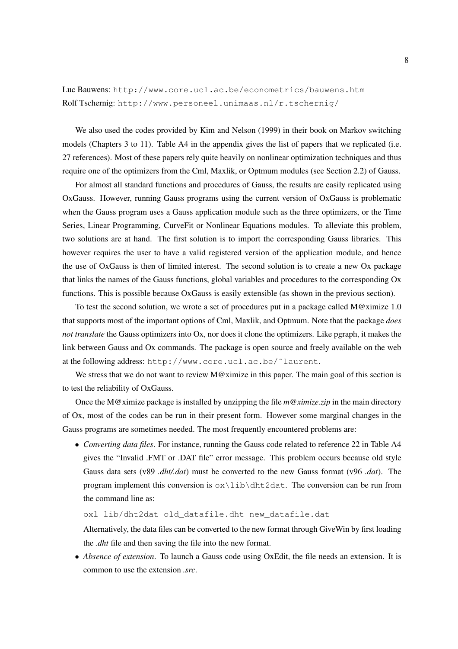Luc Bauwens: http://www.core.ucl.ac.be/econometrics/bauwens.htm Rolf Tschernig: http://www.personeel.unimaas.nl/r.tschernig/

We also used the codes provided by Kim and Nelson (1999) in their book on Markov switching models (Chapters 3 to 11). Table A4 in the appendix gives the list of papers that we replicated (i.e. 27 references). Most of these papers rely quite heavily on nonlinear optimization techniques and thus require one of the optimizers from the Cml, Maxlik, or Optmum modules (see Section 2.2) of Gauss.

For almost all standard functions and procedures of Gauss, the results are easily replicated using OxGauss. However, running Gauss programs using the current version of OxGauss is problematic when the Gauss program uses a Gauss application module such as the three optimizers, or the Time Series, Linear Programming, CurveFit or Nonlinear Equations modules. To alleviate this problem, two solutions are at hand. The first solution is to import the corresponding Gauss libraries. This however requires the user to have a valid registered version of the application module, and hence the use of OxGauss is then of limited interest. The second solution is to create a new Ox package that links the names of the Gauss functions, global variables and procedures to the corresponding Ox functions. This is possible because OxGauss is easily extensible (as shown in the previous section).

To test the second solution, we wrote a set of procedures put in a package called  $M@ximize 1.0$ that supports most of the important options of Cml, Maxlik, and Optmum. Note that the package *does not translate* the Gauss optimizers into Ox, nor does it clone the optimizers. Like pgraph, it makes the link between Gauss and Ox commands. The package is open source and freely available on the web at the following address: http://www.core.ucl.ac.be/˜laurent.

We stress that we do not want to review M@ximize in this paper. The main goal of this section is to test the reliability of OxGauss.

Once the M@ximize package is installed by unzipping the file *m@ximize.zip* in the main directory of Ox, most of the codes can be run in their present form. However some marginal changes in the Gauss programs are sometimes needed. The most frequently encountered problems are:

• *Converting data files*. For instance, running the Gauss code related to reference 22 in Table A4 gives the "Invalid .FMT or .DAT file" error message. This problem occurs because old style Gauss data sets (v89 *.dht/.dat*) must be converted to the new Gauss format (v96 *.dat*). The program implement this conversion is  $\alpha\lt 1$  is  $\delta\lt 2$  dat. The conversion can be run from the command line as:

#### oxl lib/dht2dat old\_datafile.dht new\_datafile.dat

Alternatively, the data files can be converted to the new format through GiveWin by first loading the *.dht* file and then saving the file into the new format.

• *Absence of extension*. To launch a Gauss code using OxEdit, the file needs an extension. It is common to use the extension *.src*.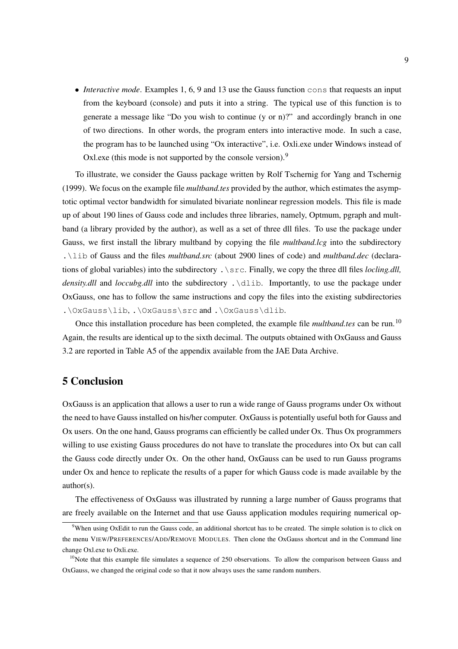• *Interactive mode*. Examples 1, 6, 9 and 13 use the Gauss function cons that requests an input from the keyboard (console) and puts it into a string. The typical use of this function is to generate a message like "Do you wish to continue (y or n)?" and accordingly branch in one of two directions. In other words, the program enters into interactive mode. In such a case, the program has to be launched using "Ox interactive", i.e. Oxli.exe under Windows instead of Oxl.exe (this mode is not supported by the console version).<sup>9</sup>

To illustrate, we consider the Gauss package written by Rolf Tschernig for Yang and Tschernig (1999). We focus on the example file *multband.tes* provided by the author, which estimates the asymptotic optimal vector bandwidth for simulated bivariate nonlinear regression models. This file is made up of about 190 lines of Gauss code and includes three libraries, namely, Optmum, pgraph and multband (a library provided by the author), as well as a set of three dll files. To use the package under Gauss, we first install the library multband by copying the file *multband.lcg* into the subdirectory .\lib of Gauss and the files *multband.src* (about 2900 lines of code) and *multband.dec* (declarations of global variables) into the subdirectory .\src. Finally, we copy the three dll files *locling.dll, density.dll* and *loccubg.dll* into the subdirectory .\dlib. Importantly, to use the package under OxGauss, one has to follow the same instructions and copy the files into the existing subdirectories .\OxGauss\lib, .\OxGauss\src and .\OxGauss\dlib.

Once this installation procedure has been completed, the example file *multband.tes* can be run.<sup>10</sup> Again, the results are identical up to the sixth decimal. The outputs obtained with OxGauss and Gauss 3.2 are reported in Table A5 of the appendix available from the JAE Data Archive.

## **5 Conclusion**

OxGauss is an application that allows a user to run a wide range of Gauss programs under Ox without the need to have Gauss installed on his/her computer. OxGauss is potentially useful both for Gauss and Ox users. On the one hand, Gauss programs can efficiently be called under Ox. Thus Ox programmers willing to use existing Gauss procedures do not have to translate the procedures into Ox but can call the Gauss code directly under Ox. On the other hand, OxGauss can be used to run Gauss programs under Ox and hence to replicate the results of a paper for which Gauss code is made available by the author(s).

The effectiveness of OxGauss was illustrated by running a large number of Gauss programs that are freely available on the Internet and that use Gauss application modules requiring numerical op-

<sup>&</sup>lt;sup>9</sup>When using OxEdit to run the Gauss code, an additional shortcut has to be created. The simple solution is to click on the menu VIEW/PREFERENCES/ADD/REMOVE MODULES. Then clone the OxGauss shortcut and in the Command line change Oxl.exe to Oxli.exe.

 $10$ Note that this example file simulates a sequence of 250 observations. To allow the comparison between Gauss and OxGauss, we changed the original code so that it now always uses the same random numbers.